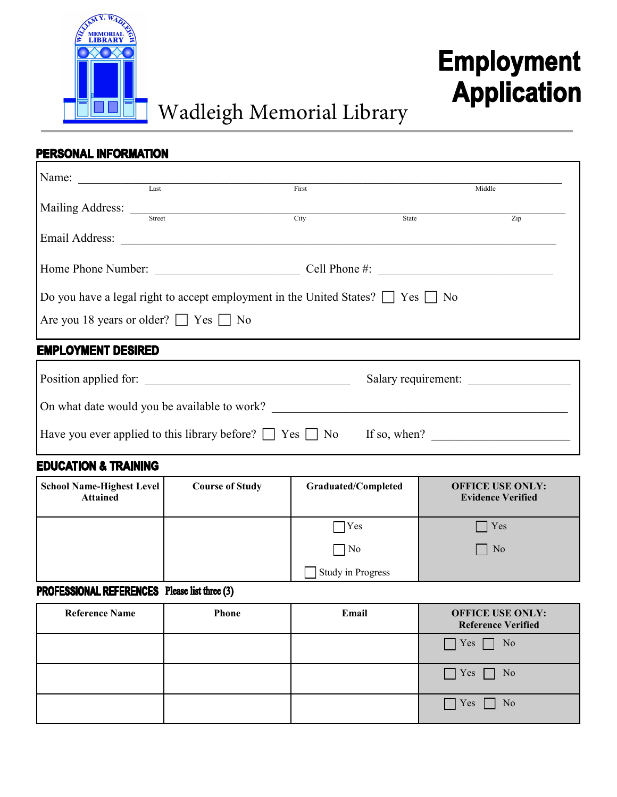

# **Employment Application**

# Wadleigh Memorial Library

## PERSONAL INFORMATION

| Name:                                                                                     |        |       |       |        |  |
|-------------------------------------------------------------------------------------------|--------|-------|-------|--------|--|
|                                                                                           | Last   | First |       | Middle |  |
| Mailing Address:                                                                          |        |       |       |        |  |
|                                                                                           | Street | City  | State | Zip    |  |
| Email Address:                                                                            |        |       |       |        |  |
|                                                                                           |        |       |       |        |  |
| Home Phone Number:<br>Cell Phone $#$ :                                                    |        |       |       |        |  |
|                                                                                           |        |       |       |        |  |
| Do you have a legal right to accept employment in the United States? $\Box$ Yes $\Box$ No |        |       |       |        |  |
| Are you 18 years or older? $\Box$ Yes $\Box$ No                                           |        |       |       |        |  |
|                                                                                           |        |       |       |        |  |

### **EMPLOYMENT DESIRED**

| Position applied for:                                              | Salary requirement: |  |  |
|--------------------------------------------------------------------|---------------------|--|--|
| On what date would you be available to work?                       |                     |  |  |
| Have you ever applied to this library before? $\Box$ Yes $\Box$ No | If so, when?        |  |  |

#### **EDUCATION & TRAINING**

| <b>School Name-Highest Level</b><br><b>Attained</b> | <b>Course of Study</b> | Graduated/Completed | <b>OFFICE USE ONLY:</b><br><b>Evidence Verified</b> |
|-----------------------------------------------------|------------------------|---------------------|-----------------------------------------------------|
|                                                     |                        | Yes                 | Yes                                                 |
|                                                     |                        | $ $ No              | N <sub>o</sub>                                      |
|                                                     |                        | Study in Progress   |                                                     |

#### **PROFESSIONAL REFERENCES** Please list three (3)

| <b>Reference Name</b> | <b>Phone</b> | Email | <b>OFFICE USE ONLY:</b><br><b>Reference Verified</b> |
|-----------------------|--------------|-------|------------------------------------------------------|
|                       |              |       | $\Box$ Yes $\Box$<br>$\Box$ No                       |
|                       |              |       | Yes<br>$\Box$ No                                     |
|                       |              |       | $\Box$ Yes<br>No                                     |